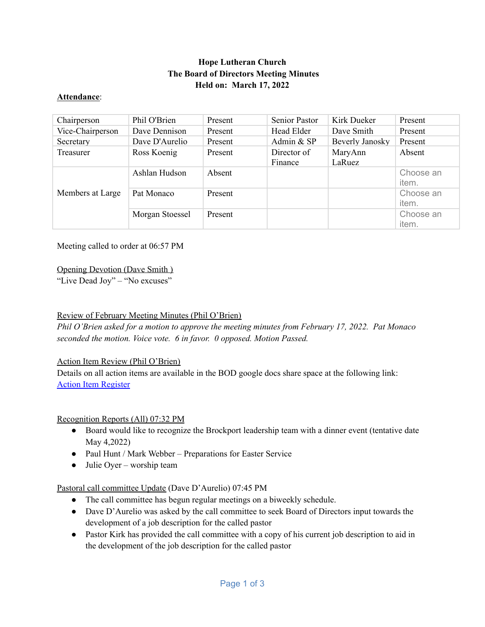# **Hope Lutheran Church The Board of Directors Meeting Minutes Held on: March 17, 2022**

#### **Attendance**:

| Chairperson      | Phil O'Brien    | Present | Senior Pastor          | Kirk Dueker       | Present            |
|------------------|-----------------|---------|------------------------|-------------------|--------------------|
| Vice-Chairperson | Dave Dennison   | Present | Head Elder             | Dave Smith        | Present            |
| Secretary        | Dave D'Aurelio  | Present | Admin & SP             | Beverly Janosky   | Present            |
| Treasurer        | Ross Koenig     | Present | Director of<br>Finance | MaryAnn<br>LaRuez | Absent             |
| Members at Large | Ashlan Hudson   | Absent  |                        |                   | Choose an<br>item. |
|                  | Pat Monaco      | Present |                        |                   | Choose an<br>item. |
|                  | Morgan Stoessel | Present |                        |                   | Choose an<br>item. |

Meeting called to order at 06:57 PM

### Opening Devotion (Dave Smith )

"Live Dead Joy" – "No excuses"

### Review of February Meeting Minutes (Phil O'Brien)

*Phil O'Brien asked for a motion to approve the meeting minutes from February 17, 2022. Pat Monaco seconded the motion. Voice vote. 6 in favor. 0 opposed. Motion Passed.*

### Action Item Review (Phil O'Brien)

Details on all action items are available in the BOD google docs share space at the following link: Action Item [Register](https://docs.google.com/spreadsheets/d/1uwZS-aT4Y_EIeRaYNRd3pBLNO4rrC0bh/edit?usp=sharing&ouid=111811818561316515473&rtpof=true&sd=true)

#### Recognition Reports (All) 07:32 PM

- Board would like to recognize the Brockport leadership team with a dinner event (tentative date May 4,2022)
- Paul Hunt / Mark Webber Preparations for Easter Service
- $\bullet$  Julie Oyer worship team

### Pastoral call committee Update (Dave D'Aurelio) 07:45 PM

- The call committee has begun regular meetings on a biweekly schedule.
- Dave D'Aurelio was asked by the call committee to seek Board of Directors input towards the development of a job description for the called pastor
- Pastor Kirk has provided the call committee with a copy of his current job description to aid in the development of the job description for the called pastor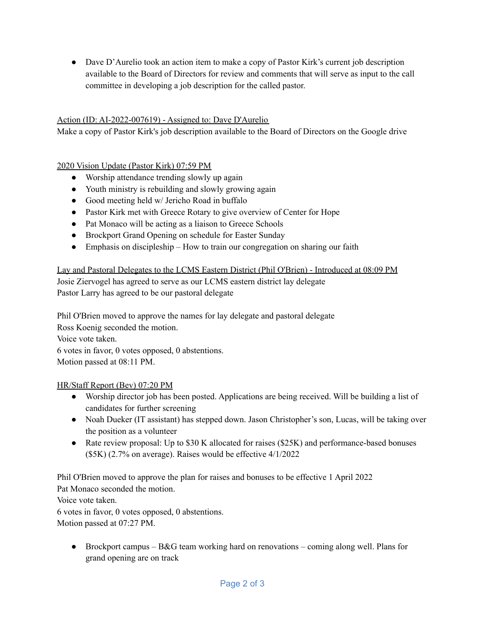● Dave D'Aurelio took an action item to make a copy of Pastor Kirk's current job description available to the Board of Directors for review and comments that will serve as input to the call committee in developing a job description for the called pastor.

### Action (ID: AI-2022-007619) - Assigned to: Dave D'Aurelio

Make a copy of Pastor Kirk's job description available to the Board of Directors on the Google drive

# 2020 Vision Update (Pastor Kirk) 07:59 PM

- Worship attendance trending slowly up again
- Youth ministry is rebuilding and slowly growing again
- Good meeting held w/ Jericho Road in buffalo
- Pastor Kirk met with Greece Rotary to give overview of Center for Hope
- Pat Monaco will be acting as a liaison to Greece Schools
- Brockport Grand Opening on schedule for Easter Sunday
- Emphasis on discipleship How to train our congregation on sharing our faith

Lay and Pastoral Delegates to the LCMS Eastern District (Phil O'Brien) - Introduced at 08:09 PM Josie Ziervogel has agreed to serve as our LCMS eastern district lay delegate Pastor Larry has agreed to be our pastoral delegate

Phil O'Brien moved to approve the names for lay delegate and pastoral delegate Ross Koenig seconded the motion. Voice vote taken. 6 votes in favor, 0 votes opposed, 0 abstentions. Motion passed at 08:11 PM.

### HR/Staff Report (Bev) 07:20 PM

- Worship director job has been posted. Applications are being received. Will be building a list of candidates for further screening
- Noah Dueker (IT assistant) has stepped down. Jason Christopher's son, Lucas, will be taking over the position as a volunteer
- Rate review proposal: Up to \$30 K allocated for raises (\$25K) and performance-based bonuses (\$5K) (2.7% on average). Raises would be effective 4/1/2022

Phil O'Brien moved to approve the plan for raises and bonuses to be effective 1 April 2022 Pat Monaco seconded the motion.

Voice vote taken.

6 votes in favor, 0 votes opposed, 0 abstentions. Motion passed at 07:27 PM.

• Brockport campus –  $B\&G$  team working hard on renovations – coming along well. Plans for grand opening are on track